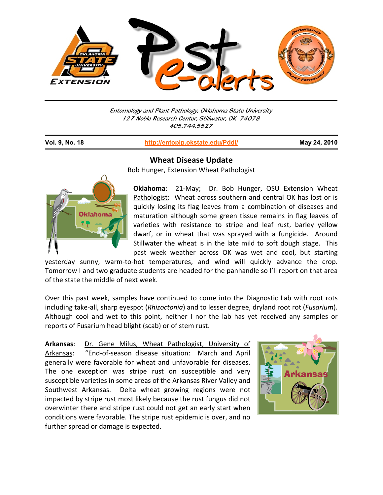

Entomology and Plant Pathology, Oklahoma State University 127 Noble Research Center, Stillwater, OK 74078 405.744.5527

j

**Vol. 9, No. 18 http://entoplp.okstate.edu/Pddl/ May 24, 2010**



**Wheat Disease Update**

Bob Hunger, Extension Wheat Pathologist

**Oklahoma:** 21-May; Dr. Bob Hunger, OSU Extension Wheat Pathologist: Wheat across southern and central OK has lost or is quickly losing its flag leaves from a combination of diseases and maturation although some green tissue remains in flag leaves of varieties with resistance to stripe and leaf rust, barley yellow dwarf, or in wheat that was sprayed with a fungicide. Around Stillwater the wheat is in the late mild to soft dough stage. This past week weather across OK was wet and cool, but starting

yesterday sunny, warm‐to‐hot temperatures, and wind will quickly advance the crop. Tomorrow I and two graduate students are headed for the panhandle so I'll report on that area of the state the middle of next week.

Over this past week, samples have continued to come into the Diagnostic Lab with root rots including take‐all, sharp eyespot (*Rhizoctonia*) and to lesser degree, dryland root rot (*Fusarium*). Although cool and wet to this point, neither I nor the lab has yet received any samples or reports of Fusarium head blight (scab) or of stem rust.

**Arkansas**: Dr. Gene Milus, Wheat Pathologist, University of Arkansas: "End‐of‐season disease situation: March and April generally were favorable for wheat and unfavorable for diseases. The one exception was stripe rust on susceptible and very susceptible varieties in some areas of the Arkansas River Valley and Southwest Arkansas. Delta wheat growing regions were not impacted by stripe rust most likely because the rust fungus did not overwinter there and stripe rust could not get an early start when conditions were favorable. The stripe rust epidemic is over, and no further spread or damage is expected.

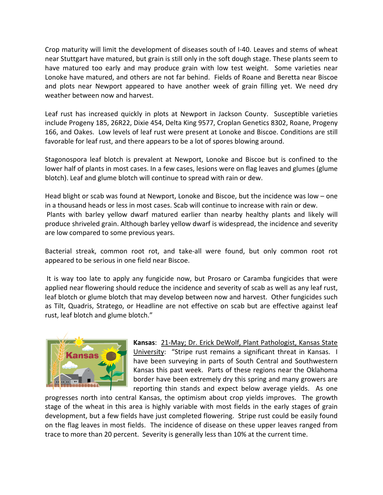Crop maturity will limit the development of diseases south of I‐40. Leaves and stems of wheat near Stuttgart have matured, but grain is still only in the soft dough stage. These plants seem to have matured too early and may produce grain with low test weight. Some varieties near Lonoke have matured, and others are not far behind. Fields of Roane and Beretta near Biscoe and plots near Newport appeared to have another week of grain filling yet. We need dry weather between now and harvest.

Leaf rust has increased quickly in plots at Newport in Jackson County. Susceptible varieties include Progeny 185, 26R22, Dixie 454, Delta King 9577, Croplan Genetics 8302, Roane, Progeny 166, and Oakes. Low levels of leaf rust were present at Lonoke and Biscoe. Conditions are still favorable for leaf rust, and there appears to be a lot of spores blowing around.

Stagonospora leaf blotch is prevalent at Newport, Lonoke and Biscoe but is confined to the lower half of plants in most cases. In a few cases, lesions were on flag leaves and glumes (glume blotch). Leaf and glume blotch will continue to spread with rain or dew.

Head blight or scab was found at Newport, Lonoke and Biscoe, but the incidence was low – one in a thousand heads or less in most cases. Scab will continue to increase with rain or dew. Plants with barley yellow dwarf matured earlier than nearby healthy plants and likely will produce shriveled grain. Although barley yellow dwarf is widespread, the incidence and severity are low compared to some previous years.

Bacterial streak, common root rot, and take‐all were found, but only common root rot appeared to be serious in one field near Biscoe.

It is way too late to apply any fungicide now, but Prosaro or Caramba fungicides that were applied near flowering should reduce the incidence and severity of scab as well as any leaf rust, leaf blotch or glume blotch that may develop between now and harvest. Other fungicides such as Tilt, Quadris, Stratego, or Headline are not effective on scab but are effective against leaf rust, leaf blotch and glume blotch."



**Kansas**: 21‐May; Dr. Erick DeWolf, Plant Pathologist, Kansas State University: "Stripe rust remains a significant threat in Kansas. I have been surveying in parts of South Central and Southwestern Kansas this past week. Parts of these regions near the Oklahoma border have been extremely dry this spring and many growers are reporting thin stands and expect below average yields. As one

progresses north into central Kansas, the optimism about crop yields improves. The growth stage of the wheat in this area is highly variable with most fields in the early stages of grain development, but a few fields have just completed flowering. Stripe rust could be easily found on the flag leaves in most fields. The incidence of disease on these upper leaves ranged from trace to more than 20 percent. Severity is generally less than 10% at the current time.